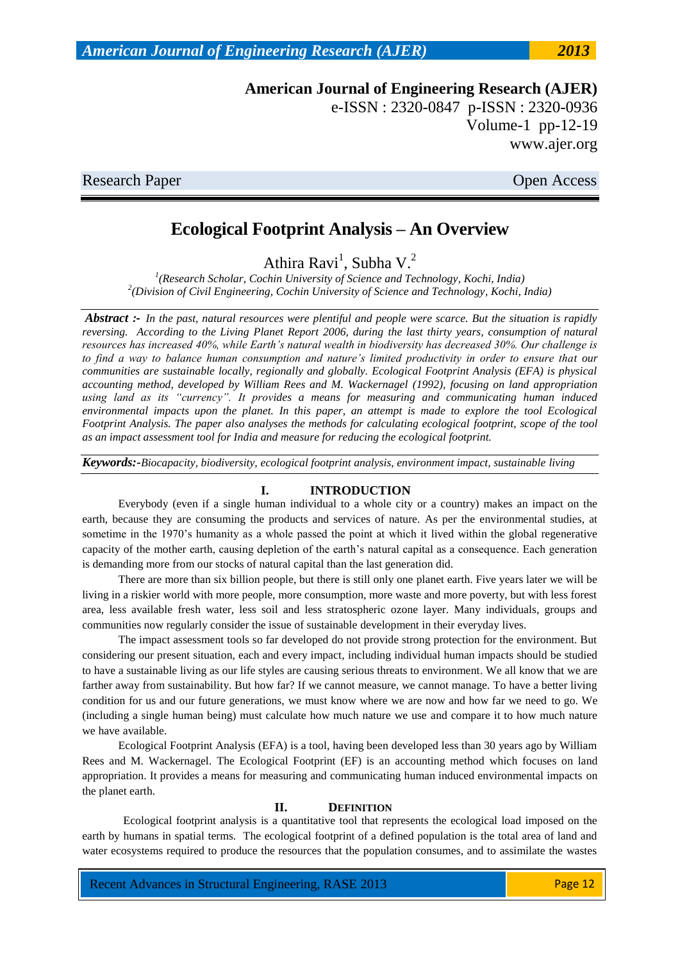e-ISSN : 2320-0847 p-ISSN : 2320-0936 Volume-1 pp-12-19 www.ajer.org

Research Paper **Open Access** 

# **Ecological Footprint Analysis – An Overview**

Athira Ravi<sup>1</sup>, Subha V.<sup>2</sup>

*1 (Research Scholar, Cochin University of Science and Technology, Kochi, India) 2 (Division of Civil Engineering, Cochin University of Science and Technology, Kochi, India)*

*Abstract :- In the past, natural resources were plentiful and people were scarce. But the situation is rapidly reversing. According to the Living Planet Report 2006, during the last thirty years, consumption of natural resources has increased 40%, while Earth's natural wealth in biodiversity has decreased 30%. Our challenge is to find a way to balance human consumption and nature's limited productivity in order to ensure that our communities are sustainable locally, regionally and globally. Ecological Footprint Analysis (EFA) is physical accounting method, developed by William Rees and M. Wackernagel (1992), focusing on land appropriation using land as its "currency". It provides a means for measuring and communicating human induced environmental impacts upon the planet. In this paper, an attempt is made to explore the tool Ecological Footprint Analysis. The paper also analyses the methods for calculating ecological footprint, scope of the tool as an impact assessment tool for India and measure for reducing the ecological footprint.*

*Keywords:-Biocapacity, biodiversity, ecological footprint analysis, environment impact, sustainable living*

### **I. INTRODUCTION**

Everybody (even if a single human individual to a whole city or a country) makes an impact on the earth, because they are consuming the products and services of nature. As per the environmental studies, at sometime in the 1970's humanity as a whole passed the point at which it lived within the global regenerative capacity of the mother earth, causing depletion of the earth's natural capital as a consequence. Each generation is demanding more from our stocks of natural capital than the last generation did.

There are more than six billion people, but there is still only one planet earth. Five years later we will be living in a riskier world with more people, more consumption, more waste and more poverty, but with less forest area, less available fresh water, less soil and less stratospheric ozone layer. Many individuals, groups and communities now regularly consider the issue of sustainable development in their everyday lives.

The impact assessment tools so far developed do not provide strong protection for the environment. But considering our present situation, each and every impact, including individual human impacts should be studied to have a sustainable living as our life styles are causing serious threats to environment. We all know that we are farther away from sustainability. But how far? If we cannot measure, we cannot manage. To have a better living condition for us and our future generations, we must know where we are now and how far we need to go. We (including a single human being) must calculate how much nature we use and compare it to how much nature we have available.

Ecological Footprint Analysis (EFA) is a tool, having been developed less than 30 years ago by William Rees and M. Wackernagel. The Ecological Footprint (EF) is an accounting method which focuses on land appropriation. It provides a means for measuring and communicating human induced environmental impacts on the planet earth.

#### **II. DEFINITION**

Ecological footprint analysis is a quantitative tool that represents the ecological load imposed on the earth by humans in spatial terms. The ecological footprint of a defined population is the total area of land and water ecosystems required to produce the resources that the population consumes, and to assimilate the wastes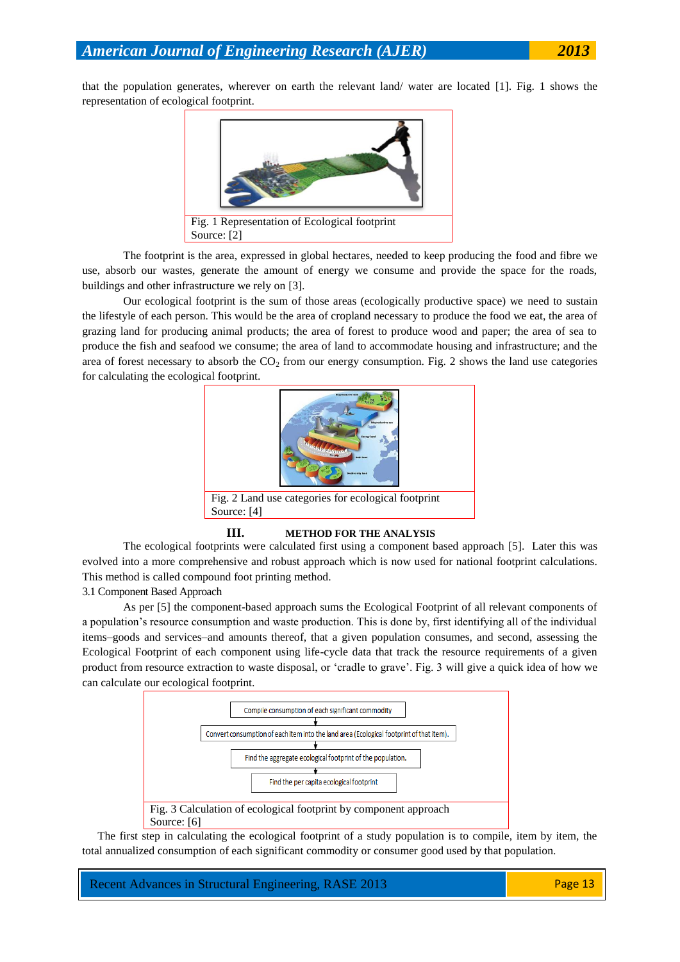that the population generates, wherever on earth the relevant land/ water are located [1]. Fig. 1 shows the representation of ecological footprint.



The footprint is the area, expressed in global hectares, needed to keep producing the food and fibre we use, absorb our wastes, generate the amount of energy we consume and provide the space for the roads, buildings and other infrastructure we rely on [3].

Our ecological footprint is the sum of those areas (ecologically productive space) we need to sustain the lifestyle of each person. This would be the area of cropland necessary to produce the food we eat, the area of grazing land for producing animal products; the area of forest to produce wood and paper; the area of sea to produce the fish and seafood we consume; the area of land to accommodate housing and infrastructure; and the area of forest necessary to absorb the  $CO<sub>2</sub>$  from our energy consumption. Fig. 2 shows the land use categories for calculating the ecological footprint.



**III. METHOD FOR THE ANALYSIS**

The ecological footprints were calculated first using a component based approach [5]. Later this was evolved into a more comprehensive and robust approach which is now used for national footprint calculations. This method is called compound foot printing method.

### 3.1 Component Based Approach

As per [5] the component-based approach sums the Ecological Footprint of all relevant components of a population's resource consumption and waste production. This is done by, first identifying all of the individual items–goods and services–and amounts thereof, that a given population consumes, and second, assessing the Ecological Footprint of each component using life-cycle data that track the resource requirements of a given product from resource extraction to waste disposal, or 'cradle to grave'. Fig. 3 will give a quick idea of how we can calculate our ecological footprint.



The first step in calculating the ecological footprint of a study population is to compile, item by item, the total annualized consumption of each significant commodity or consumer good used by that population.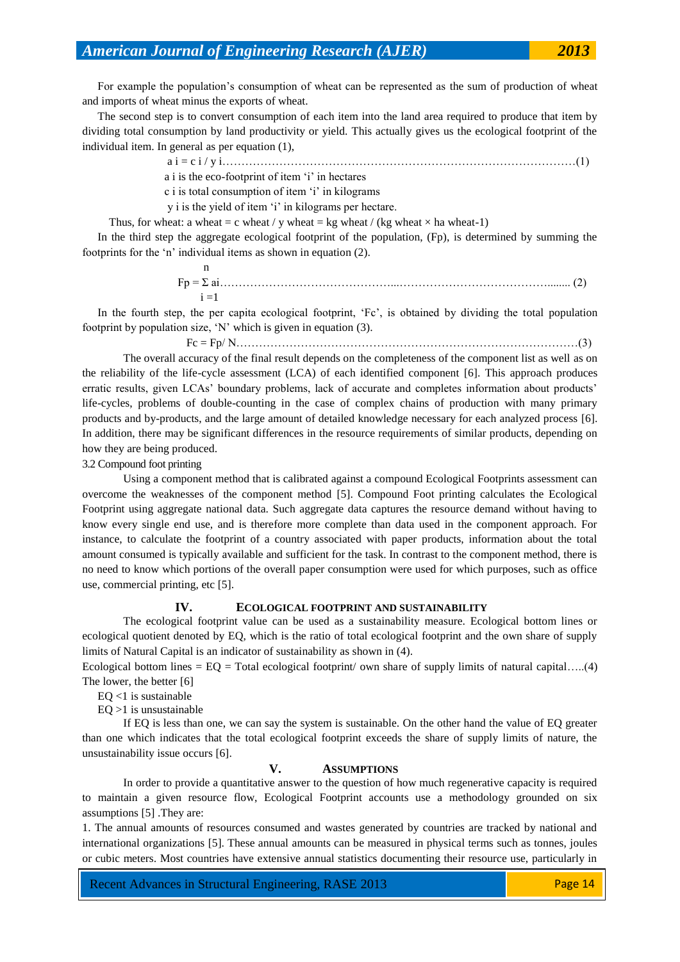For example the population's consumption of wheat can be represented as the sum of production of wheat and imports of wheat minus the exports of wheat.

The second step is to convert consumption of each item into the land area required to produce that item by dividing total consumption by land productivity or yield. This actually gives us the ecological footprint of the individual item. In general as per equation (1),

a i = c i / y i…………………………………………………………………………………(1)

- a i is the eco-footprint of item ‗i' in hectares
- c i is total consumption of item ‗i' in kilograms

y i is the yield of item 'i' in kilograms per hectare.

Thus, for wheat: a wheat = c wheat / y wheat = kg wheat / (kg wheat  $\times$  ha wheat-1)

In the third step the aggregate ecological footprint of the population, (Fp), is determined by summing the footprints for the 'n' individual items as shown in equation (2).

n and a structure of the structure of the structure of the structure of the structure of the structure of the structure of the structure of the structure of the structure of the structure of the structure of the structure Fp = Σ ai………………………………………...…………………………………........ (2)  $i = 1$ 

In the fourth step, the per capita ecological footprint, 'Fc', is obtained by dividing the total population footprint by population size, 'N' which is given in equation (3).

Fc = Fp/ N………………………………………………………………………………(3)

The overall accuracy of the final result depends on the completeness of the component list as well as on the reliability of the life-cycle assessment (LCA) of each identified component [6]. This approach produces erratic results, given LCAs' boundary problems, lack of accurate and completes information about products' life-cycles, problems of double-counting in the case of complex chains of production with many primary products and by-products, and the large amount of detailed knowledge necessary for each analyzed process [6]. In addition, there may be significant differences in the resource requirements of similar products, depending on how they are being produced.

3.2 Compound foot printing

Using a component method that is calibrated against a compound Ecological Footprints assessment can overcome the weaknesses of the component method [5]. Compound Foot printing calculates the Ecological Footprint using aggregate national data. Such aggregate data captures the resource demand without having to know every single end use, and is therefore more complete than data used in the component approach. For instance, to calculate the footprint of a country associated with paper products, information about the total amount consumed is typically available and sufficient for the task. In contrast to the component method, there is no need to know which portions of the overall paper consumption were used for which purposes, such as office use, commercial printing, etc [5].

#### **IV. ECOLOGICAL FOOTPRINT AND SUSTAINABILITY**

The ecological footprint value can be used as a sustainability measure. Ecological bottom lines or ecological quotient denoted by EQ, which is the ratio of total ecological footprint and the own share of supply limits of Natural Capital is an indicator of sustainability as shown in (4).

Ecological bottom lines  $=$  EQ  $=$  Total ecological footprint/ own share of supply limits of natural capital.....(4) The lower, the better [6]

 $EQ$  <1 is sustainable

 $EO > 1$  is unsustainable

If EQ is less than one, we can say the system is sustainable. On the other hand the value of EQ greater than one which indicates that the total ecological footprint exceeds the share of supply limits of nature, the unsustainability issue occurs [6].

#### **V. ASSUMPTIONS**

In order to provide a quantitative answer to the question of how much regenerative capacity is required to maintain a given resource flow, Ecological Footprint accounts use a methodology grounded on six assumptions [5] .They are:

1. The annual amounts of resources consumed and wastes generated by countries are tracked by national and international organizations [5]. These annual amounts can be measured in physical terms such as tonnes, joules or cubic meters. Most countries have extensive annual statistics documenting their resource use, particularly in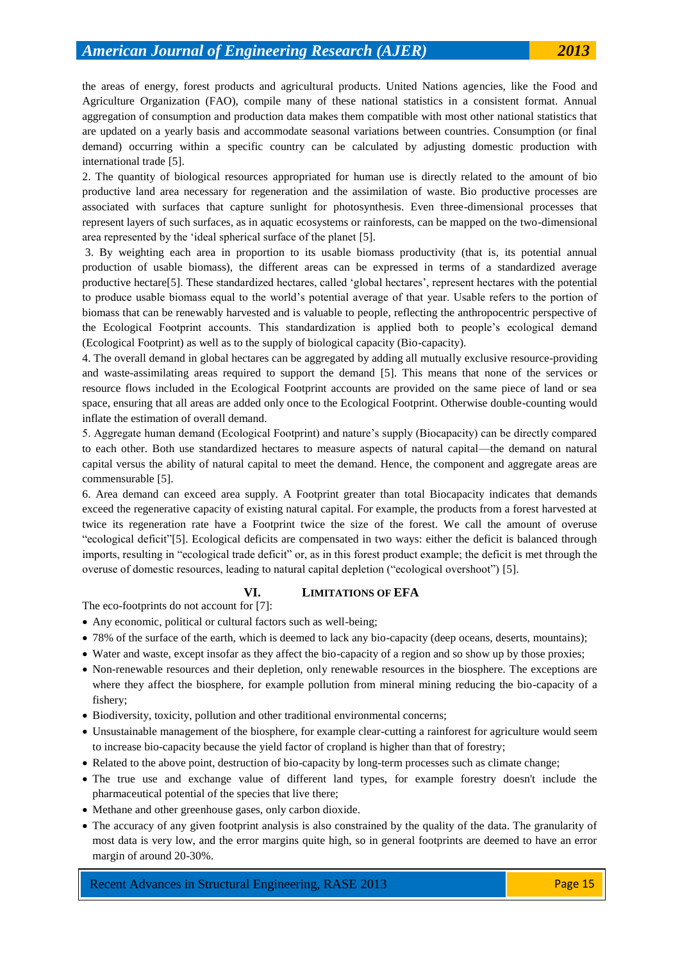the areas of energy, forest products and agricultural products. United Nations agencies, like the Food and Agriculture Organization (FAO), compile many of these national statistics in a consistent format. Annual aggregation of consumption and production data makes them compatible with most other national statistics that are updated on a yearly basis and accommodate seasonal variations between countries. Consumption (or final demand) occurring within a specific country can be calculated by adjusting domestic production with international trade [5].

2. The quantity of biological resources appropriated for human use is directly related to the amount of bio productive land area necessary for regeneration and the assimilation of waste. Bio productive processes are associated with surfaces that capture sunlight for photosynthesis. Even three-dimensional processes that represent layers of such surfaces, as in aquatic ecosystems or rainforests, can be mapped on the two-dimensional area represented by the 'ideal spherical surface of the planet [5].

3. By weighting each area in proportion to its usable biomass productivity (that is, its potential annual production of usable biomass), the different areas can be expressed in terms of a standardized average productive hectare[5]. These standardized hectares, called ‗global hectares', represent hectares with the potential to produce usable biomass equal to the world's potential average of that year. Usable refers to the portion of biomass that can be renewably harvested and is valuable to people, reflecting the anthropocentric perspective of the Ecological Footprint accounts. This standardization is applied both to people's ecological demand (Ecological Footprint) as well as to the supply of biological capacity (Bio-capacity).

4. The overall demand in global hectares can be aggregated by adding all mutually exclusive resource-providing and waste-assimilating areas required to support the demand [5]. This means that none of the services or resource flows included in the Ecological Footprint accounts are provided on the same piece of land or sea space, ensuring that all areas are added only once to the Ecological Footprint. Otherwise double-counting would inflate the estimation of overall demand.

5. Aggregate human demand (Ecological Footprint) and nature's supply (Biocapacity) can be directly compared to each other. Both use standardized hectares to measure aspects of natural capital—the demand on natural capital versus the ability of natural capital to meet the demand. Hence, the component and aggregate areas are commensurable [5].

6. Area demand can exceed area supply. A Footprint greater than total Biocapacity indicates that demands exceed the regenerative capacity of existing natural capital. For example, the products from a forest harvested at twice its regeneration rate have a Footprint twice the size of the forest. We call the amount of overuse "ecological deficit"[5]. Ecological deficits are compensated in two ways: either the deficit is balanced through imports, resulting in "ecological trade deficit" or, as in this forest product example; the deficit is met through the overuse of domestic resources, leading to natural capital depletion ("ecological overshoot") [5].

### **VI. LIMITATIONS OF EFA**

The eco-footprints do not account for [7]:

- Any economic, political or cultural factors such as well-being;
- 78% of the surface of the earth, which is deemed to lack any bio-capacity (deep oceans, deserts, mountains);
- Water and waste, except insofar as they affect the bio-capacity of a region and so show up by those proxies;
- Non-renewable resources and their depletion, only renewable resources in the biosphere. The exceptions are where they affect the biosphere, for example pollution from mineral mining reducing the bio-capacity of a fishery;
- Biodiversity, toxicity, pollution and other traditional environmental concerns;
- Unsustainable management of the biosphere, for example clear-cutting a rainforest for agriculture would seem to increase bio-capacity because the yield factor of cropland is higher than that of forestry;
- Related to the above point, destruction of bio-capacity by long-term processes such as climate change;
- The true use and exchange value of different land types, for example forestry doesn't include the pharmaceutical potential of the species that live there;
- Methane and other greenhouse gases, only carbon dioxide.
- The accuracy of any given footprint analysis is also constrained by the quality of the data. The granularity of most data is very low, and the error margins quite high, so in general footprints are deemed to have an error margin of around 20-30%.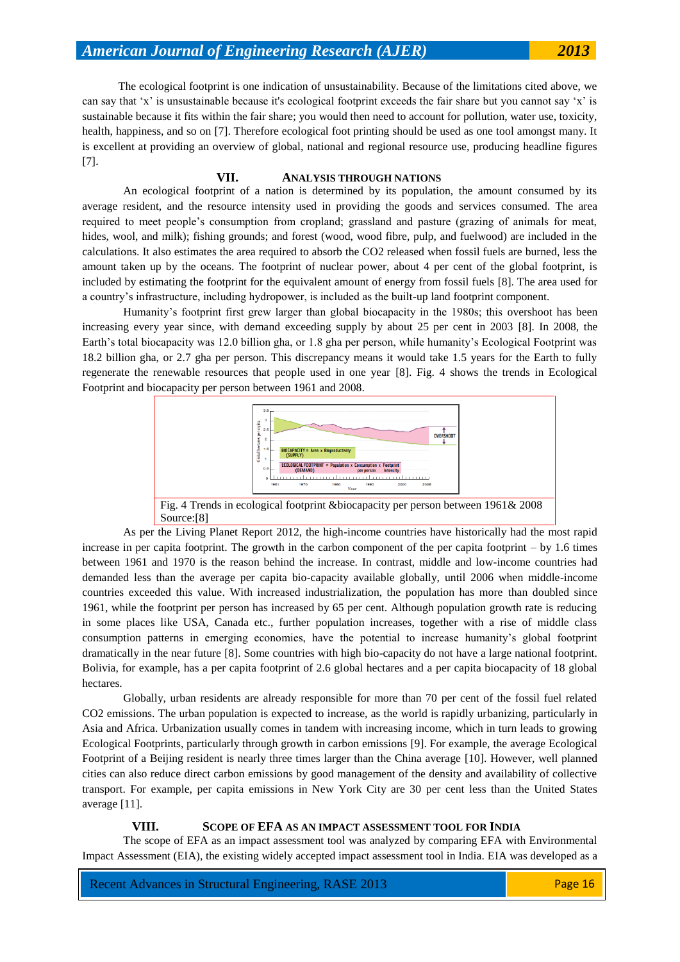The ecological footprint is one indication of unsustainability. Because of the limitations cited above, we can say that 'x' is unsustainable because it's ecological footprint exceeds the fair share but you cannot say 'x' is sustainable because it fits within the fair share; you would then need to account for pollution, water use, toxicity, health, happiness, and so on [7]. Therefore ecological foot printing should be used as one tool amongst many. It is excellent at providing an overview of global, national and regional resource use, producing headline figures [7].

#### **VII. ANALYSIS THROUGH NATIONS**

An ecological footprint of a nation is determined by its population, the amount consumed by its average resident, and the resource intensity used in providing the goods and services consumed. The area required to meet people's consumption from cropland; grassland and pasture (grazing of animals for meat, hides, wool, and milk); fishing grounds; and forest (wood, wood fibre, pulp, and fuelwood) are included in the calculations. It also estimates the area required to absorb the CO2 released when fossil fuels are burned, less the amount taken up by the oceans. The footprint of nuclear power, about 4 per cent of the global footprint, is included by estimating the footprint for the equivalent amount of energy from fossil fuels [8]. The area used for a country's infrastructure, including hydropower, is included as the built-up land footprint component.

Humanity's footprint first grew larger than global biocapacity in the 1980s; this overshoot has been increasing every year since, with demand exceeding supply by about 25 per cent in 2003 [8]. In 2008, the Earth's total biocapacity was 12.0 billion gha, or 1.8 gha per person, while humanity's Ecological Footprint was 18.2 billion gha, or 2.7 gha per person. This discrepancy means it would take 1.5 years for the Earth to fully regenerate the renewable resources that people used in one year [8]. Fig. 4 shows the trends in Ecological Footprint and biocapacity per person between 1961 and 2008.



As per the Living Planet Report 2012, the high-income countries have historically had the most rapid increase in per capita footprint. The growth in the carbon component of the per capita footprint – by 1.6 times between 1961 and 1970 is the reason behind the increase. In contrast, middle and low-income countries had demanded less than the average per capita bio-capacity available globally, until 2006 when middle-income countries exceeded this value. With increased industrialization, the population has more than doubled since 1961, while the footprint per person has increased by 65 per cent. Although population growth rate is reducing in some places like USA, Canada etc., further population increases, together with a rise of middle class consumption patterns in emerging economies, have the potential to increase humanity's global footprint dramatically in the near future [8]. Some countries with high bio-capacity do not have a large national footprint. Bolivia, for example, has a per capita footprint of 2.6 global hectares and a per capita biocapacity of 18 global hectares.

Globally, urban residents are already responsible for more than 70 per cent of the fossil fuel related CO2 emissions. The urban population is expected to increase, as the world is rapidly urbanizing, particularly in Asia and Africa. Urbanization usually comes in tandem with increasing income, which in turn leads to growing Ecological Footprints, particularly through growth in carbon emissions [9]. For example, the average Ecological Footprint of a Beijing resident is nearly three times larger than the China average [10]. However, well planned cities can also reduce direct carbon emissions by good management of the density and availability of collective transport. For example, per capita emissions in New York City are 30 per cent less than the United States average [11].

#### **VIII. SCOPE OF EFA AS AN IMPACT ASSESSMENT TOOL FOR INDIA**

The scope of EFA as an impact assessment tool was analyzed by comparing EFA with Environmental Impact Assessment (EIA), the existing widely accepted impact assessment tool in India. EIA was developed as a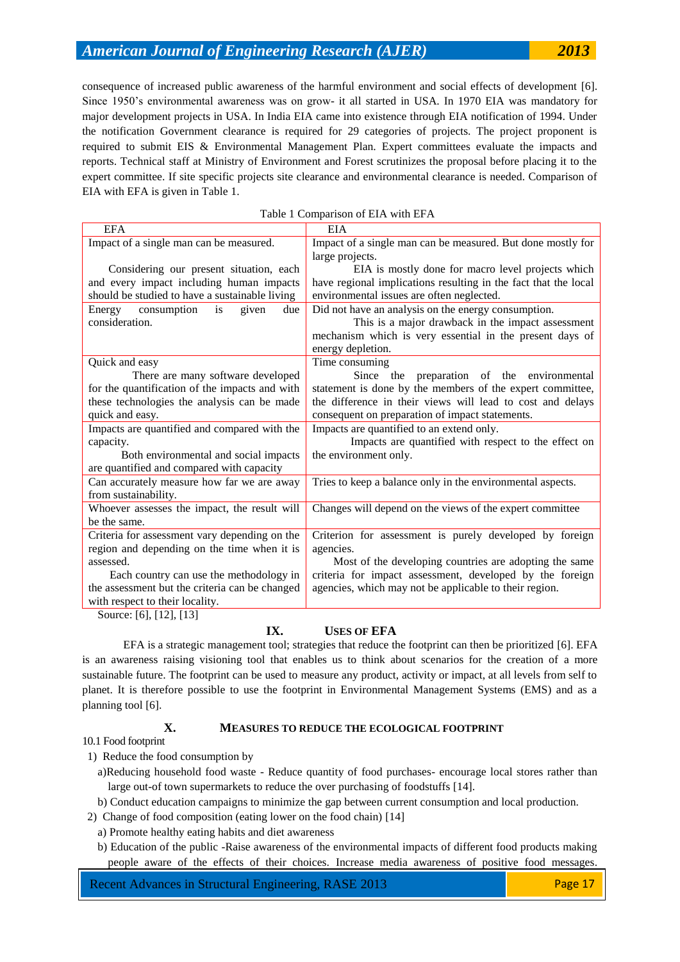consequence of increased public awareness of the harmful environment and social effects of development [6]. Since 1950's environmental awareness was on grow- it all started in USA. In 1970 EIA was mandatory for major development projects in USA. In India EIA came into existence through EIA notification of 1994. Under the notification Government clearance is required for 29 categories of projects. The project proponent is required to submit EIS & Environmental Management Plan. Expert committees evaluate the impacts and reports. Technical staff at Ministry of Environment and Forest scrutinizes the proposal before placing it to the expert committee. If site specific projects site clearance and environmental clearance is needed. Comparison of EIA with EFA is given in Table 1.

| <b>EFA</b>                                     | <b>EIA</b>                                                      |
|------------------------------------------------|-----------------------------------------------------------------|
| Impact of a single man can be measured.        | Impact of a single man can be measured. But done mostly for     |
|                                                | large projects.                                                 |
| Considering our present situation, each        | EIA is mostly done for macro level projects which               |
| and every impact including human impacts       | have regional implications resulting in the fact that the local |
| should be studied to have a sustainable living | environmental issues are often neglected.                       |
| consumption<br>due<br>Energy<br>is<br>given    | Did not have an analysis on the energy consumption.             |
| consideration.                                 | This is a major drawback in the impact assessment               |
|                                                | mechanism which is very essential in the present days of        |
|                                                | energy depletion.                                               |
| Quick and easy                                 | Time consuming                                                  |
| There are many software developed              | Since the preparation of the environmental                      |
| for the quantification of the impacts and with | statement is done by the members of the expert committee,       |
| these technologies the analysis can be made    | the difference in their views will lead to cost and delays      |
| quick and easy.                                | consequent on preparation of impact statements.                 |
| Impacts are quantified and compared with the   | Impacts are quantified to an extend only.                       |
| capacity.                                      | Impacts are quantified with respect to the effect on            |
| Both environmental and social impacts          | the environment only.                                           |
| are quantified and compared with capacity      |                                                                 |
| Can accurately measure how far we are away     | Tries to keep a balance only in the environmental aspects.      |
| from sustainability.                           |                                                                 |
| Whoever assesses the impact, the result will   | Changes will depend on the views of the expert committee        |
| be the same.                                   |                                                                 |
| Criteria for assessment vary depending on the  | Criterion for assessment is purely developed by foreign         |
| region and depending on the time when it is    | agencies.                                                       |
| assessed.                                      | Most of the developing countries are adopting the same          |
| Each country can use the methodology in        | criteria for impact assessment, developed by the foreign        |
| the assessment but the criteria can be changed | agencies, which may not be applicable to their region.          |
| with respect to their locality.                |                                                                 |
| $S_{\text{OUPC}}$ [6] [12] [13]                |                                                                 |

## Table 1 Comparison of EIA with EFA

Source: [6], [12], [13]

## **IX. USES OF EFA**

EFA is a strategic management tool; strategies that reduce the footprint can then be prioritized [6]. EFA is an awareness raising visioning tool that enables us to think about scenarios for the creation of a more sustainable future. The footprint can be used to measure any product, activity or impact, at all levels from self to planet. It is therefore possible to use the footprint in Environmental Management Systems (EMS) and as a planning tool [6].

1) Reduce the food consumption by

### **X. MEASURES TO REDUCE THE ECOLOGICAL FOOTPRINT**

10.1 Food footprint

- a)Reducing household food waste Reduce quantity of food purchases- encourage local stores rather than large out-of town supermarkets to reduce the over purchasing of foodstuffs [14].
- b) Conduct education campaigns to minimize the gap between current consumption and local production.
- 2) Change of food composition (eating lower on the food chain) [14]
	- a) Promote healthy eating habits and diet awareness
	- b) Education of the public -Raise awareness of the environmental impacts of different food products making people aware of the effects of their choices. Increase media awareness of positive food messages.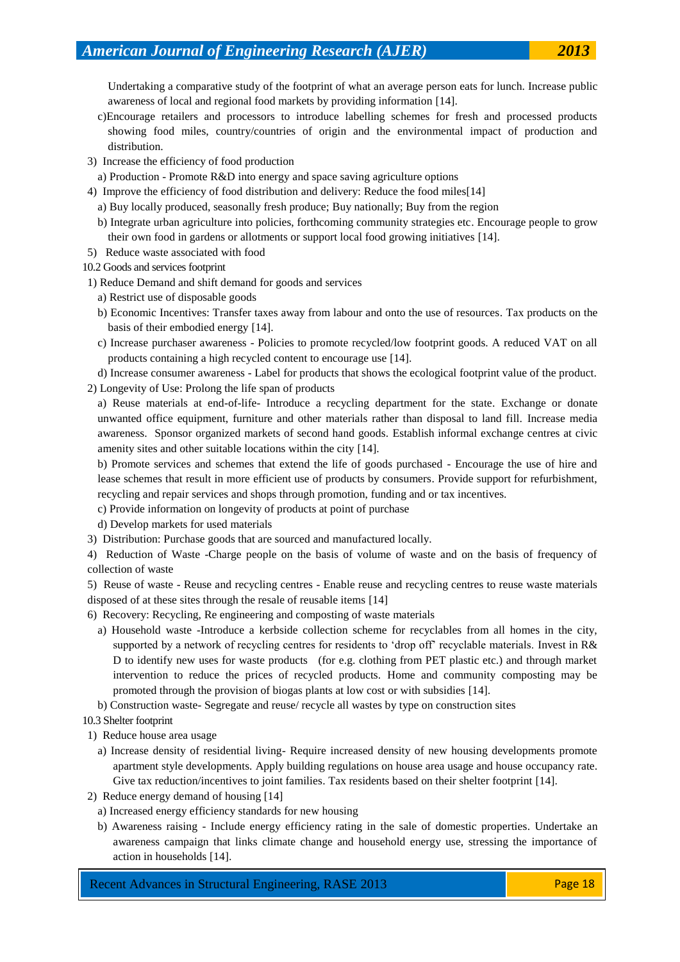Undertaking a comparative study of the footprint of what an average person eats for lunch. Increase public awareness of local and regional food markets by providing information [14].

- c)Encourage retailers and processors to introduce labelling schemes for fresh and processed products showing food miles, country/countries of origin and the environmental impact of production and distribution.
- 3) Increase the efficiency of food production
- a) Production Promote R&D into energy and space saving agriculture options
- 4) Improve the efficiency of food distribution and delivery: Reduce the food miles[14]
	- a) Buy locally produced, seasonally fresh produce; Buy nationally; Buy from the region
	- b) Integrate urban agriculture into policies, forthcoming community strategies etc. Encourage people to grow their own food in gardens or allotments or support local food growing initiatives [14].
- 5) Reduce waste associated with food
- 10.2 Goods and services footprint
- 1) Reduce Demand and shift demand for goods and services
	- a) Restrict use of disposable goods
	- b) Economic Incentives: Transfer taxes away from labour and onto the use of resources. Tax products on the basis of their embodied energy [14].
	- c) Increase purchaser awareness Policies to promote recycled/low footprint goods. A reduced VAT on all products containing a high recycled content to encourage use [14].

d) Increase consumer awareness - Label for products that shows the ecological footprint value of the product. 2) Longevity of Use: Prolong the life span of products

a) Reuse materials at end-of-life- Introduce a recycling department for the state. Exchange or donate unwanted office equipment, furniture and other materials rather than disposal to land fill. Increase media awareness. Sponsor organized markets of second hand goods. Establish informal exchange centres at civic amenity sites and other suitable locations within the city [14].

b) Promote services and schemes that extend the life of goods purchased - Encourage the use of hire and lease schemes that result in more efficient use of products by consumers. Provide support for refurbishment, recycling and repair services and shops through promotion, funding and or tax incentives.

c) Provide information on longevity of products at point of purchase

d) Develop markets for used materials

3) Distribution: Purchase goods that are sourced and manufactured locally.

4) Reduction of Waste -Charge people on the basis of volume of waste and on the basis of frequency of collection of waste

5) Reuse of waste - Reuse and recycling centres - Enable reuse and recycling centres to reuse waste materials disposed of at these sites through the resale of reusable items [14]

- 6) Recovery: Recycling, Re engineering and composting of waste materials
	- a) Household waste -Introduce a kerbside collection scheme for recyclables from all homes in the city, supported by a network of recycling centres for residents to 'drop off' recyclable materials. Invest in R& D to identify new uses for waste products (for e.g. clothing from PET plastic etc.) and through market intervention to reduce the prices of recycled products. Home and community composting may be promoted through the provision of biogas plants at low cost or with subsidies [14].

b) Construction waste- Segregate and reuse/ recycle all wastes by type on construction sites

- 10.3 Shelter footprint
- 1) Reduce house area usage
	- a) Increase density of residential living- Require increased density of new housing developments promote apartment style developments. Apply building regulations on house area usage and house occupancy rate. Give tax reduction/incentives to joint families. Tax residents based on their shelter footprint [14].
- 2) Reduce energy demand of housing [14]
	- a) Increased energy efficiency standards for new housing
	- b) Awareness raising Include energy efficiency rating in the sale of domestic properties. Undertake an awareness campaign that links climate change and household energy use, stressing the importance of action in households [14].